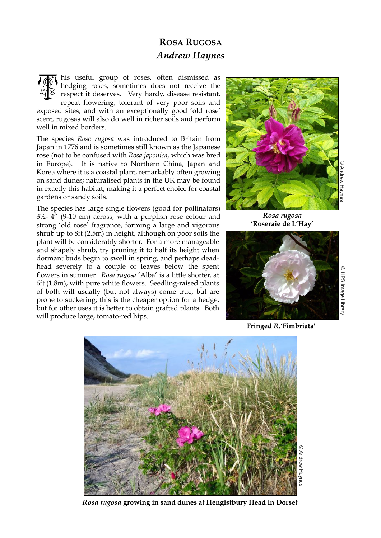## **ROSA RUGOSA** *Andrew Haynes*

his useful group of roses, often dismissed as hedging roses, sometimes does not receive the respect it deserves. Very hardy, disease resistant, repeat flowering, tolerant of very poor soils and exposed sites, and with an exceptionally good 'old rose' scent, rugosas will also do well in richer soils and perform well in mixed borders. TOK

The species *Rosa rugosa* was introduced to Britain from Japan in 1776 and is sometimes still known as the Japanese rose (not to be confused with *Rosa japonica*, which was bred in Europe). It is native to Northern China, Japan and Korea where it is a coastal plant, remarkably often growing on sand dunes; naturalised plants in the UK may be found in exactly this habitat, making it a perfect choice for coastal gardens or sandy soils.

The species has large single flowers (good for pollinators)  $3\frac{1}{2}$ -  $4''$  (9-10 cm) across, with a purplish rose colour and strong 'old rose' fragrance, forming a large and vigorous shrub up to 8ft (2.5m) in height, although on poor soils the plant will be considerably shorter. For a more manageable and shapely shrub, try pruning it to half its height when dormant buds begin to swell in spring, and perhaps deadhead severely to a couple of leaves below the spent flowers in summer. *Rosa rugosa* 'Alba' is a little shorter, at 6ft (1.8m), with pure white flowers. Seedling-raised plants of both will usually (but not always) come true, but are prone to suckering; this is the cheaper option for a hedge, but for other uses it is better to obtain grafted plants. Both will produce large, tomato-red hips.



*Rosa rugosa* **'Roseraie de L'Hay'**



**Fringed** *R***.'Fimbriata'**



*Rosa rugosa* **growing in sand dunes at Hengistbury Head in Dorset**